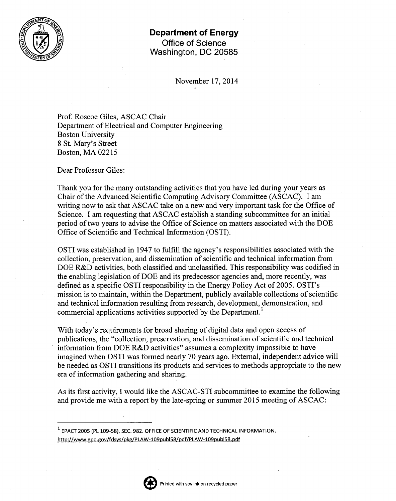

## **Department of Energy Office of Science Washington, DC 20585**

November 17,2014

Prof. Roscoe Giles, ASCAC Chair Department of Electrical and Computer Engineering Boston University 8 St. Mary's Street Boston, MA 02215

Dear Professor Giles:

Thank you for the many outstanding activities that you have led during your years as Chair of the Advanced Scientific Computing Advisory Committee (ASCAC). I am writing now to ask that ASCAC take on a new and very important task for the Office of Science. I am requesting that ASCAC establish a standing subcommittee for an initial period of two years to advise the Office of Science on matters associated with the DOE Office of Scientific and Technical Information (OSTI).

OSTI was established in 1947 to fulfill the agency's responsibilities associated with the collection, preservation, and dissemination of scientific and technical information from DOE R&D activities, both classified and unclassified. This responsibility was codified in the enabling legislation of DOE and its predecessor agencies and, more recently, was defined as a specific OSTI responsibility in the Energy Policy Act of 2005. OSTI's mission is to maintain, within the Department, publicly available collections of scientific and technical information resulting from research, development, demonstration, and commercial applications activities supported by the Department.<sup>1</sup>

With today's requirements for broad sharing of digital data and open access of publications, the "collection, preservation, and dissemination of scientific and technical information from DOE R&D activities" assumes a complexity impossible to have imagined when OSTI was formed nearly 70 years ago. External, independent advice will be needed as OSTI transitions its products and services to methods appropriate to the new era of information gathering and sharing.

As its first activity, I would like the ASCAC-STI subcommittee to examine the following and provide me with a report by the late-spring or summer 2015 meeting of ASCAC:

<sup>1</sup> EPACT 2005 (PL 109-58), SEC. 982. OFFICE OF SCIENTIFIC AND TECHNICAL INFORMATION. http://www.gpo.gov/fdsys/pkg/PLAW-109publ58/pdf/PLAW-109publ58.pdf